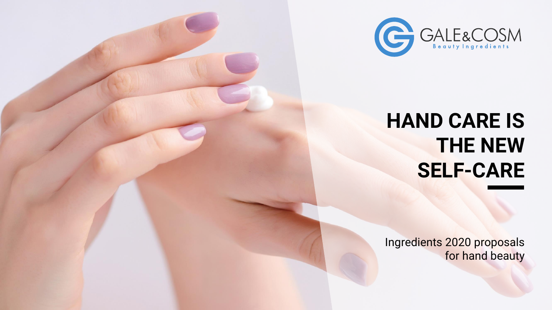

## **HAND CARE IS THE NEW SELF-CARE**

Ingredients 2020 proposals for hand beauty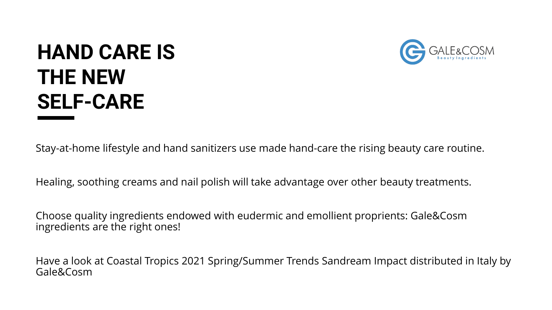# **HAND CARE IS THE NEW SELF-CARE**



Stay-at-home lifestyle and hand sanitizers use made hand-care the rising beauty care routine.

Healing, soothing creams and nail polish will take advantage over other beauty treatments.

Choose quality ingredients endowed with eudermic and emollient proprients: Gale&Cosm ingredients are the right ones!

Have a look at Coastal Tropics 2021 Spring/Summer Trends Sandream Impact distributed in Italy by Gale&Cosm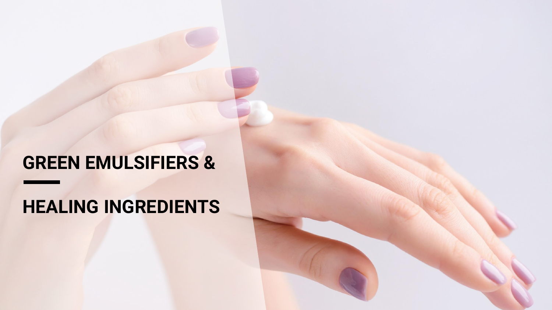### **GREEN EMULSIFIERS &**

### **HEALING INGREDIENTS**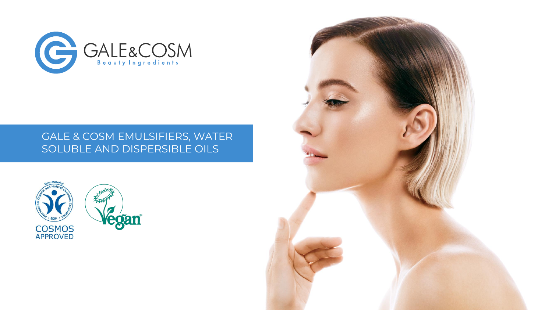

### GALE & COSM EMULSIFIERS, WATER SOLUBLE AND DISPERSIBLE OILS





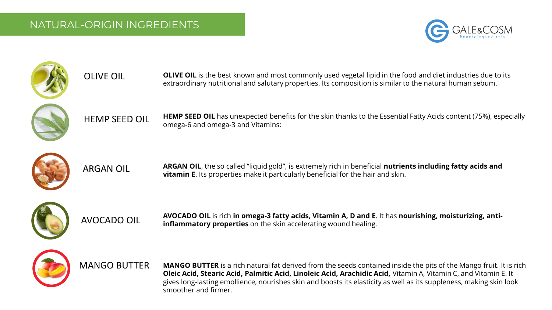OLIVE OIL





**OLIVE OIL** is the best known and most commonly used vegetal lipid in the food and diet industries due to its extraordinary nutritional and salutary properties. Its composition is similar to the natural human sebum.



HEMP SEED OIL **HEMP SEED OIL** has unexpected benefits for the skin thanks to the Essential Fatty Acids content (75%), especially omega-6 and omega-3 and Vitamins:



ARGAN OIL

**ARGAN OIL**, the so called "liquid gold", is extremely rich in beneficial **nutrients including fatty acids and vitamin E**. Its properties make it particularly beneficial for the hair and skin.



AVOCADO OIL

**AVOCADO OIL** is rich **in omega-3 fatty acids, Vitamin A, D and E**. It has **nourishing, moisturizing, antiinflammatory properties** on the skin accelerating wound healing.



MANGO BUTTER

**MANGO BUTTER** is a rich natural fat derived from the seeds contained inside the pits of the Mango fruit. It is rich **Oleic Acid, Stearic Acid, Palmitic Acid, Linoleic Acid, Arachidic Acid,** Vitamin A, Vitamin C, and Vitamin E. It gives long-lasting emollience, nourishes skin and boosts its elasticity as well as its suppleness, making skin look smoother and firmer.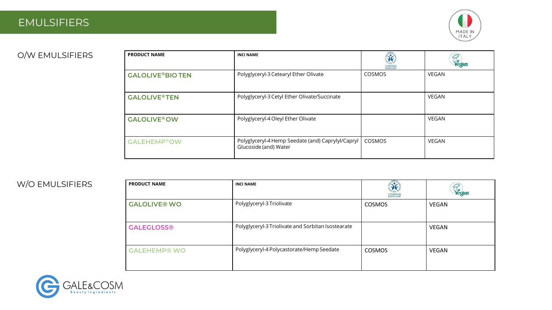### EMULSIFIERS



#### O/W EMULSIFIERS

| <b>PRODUCT NAME</b>            | <b>INCI NAME</b>                                                           | $\delta$<br><b>COSMOS</b><br>APPROVED | Vegan        |
|--------------------------------|----------------------------------------------------------------------------|---------------------------------------|--------------|
| <b>GALOLIVE®BIO TEN</b>        | Polyglyceryl-3 Cetearyl Ether Olivate                                      | COSMOS                                | VEGAN        |
| <b>GALOLIVE<sup>®</sup>TEN</b> | Polyglyceryl-3 Cetyl Ether Olivate/Succinate                               |                                       | <b>VEGAN</b> |
| <b>GALOLIVE<sup>®</sup>OW</b>  | Polyglyceryl-4 Oleyl Ether Olivate                                         |                                       | VEGAN        |
| <b>GALEHEMP®OW</b>             | Polyglyceryl-4 Hemp Seedate (and) Caprylyl/Capryl<br>Glucoside (and) Water | COSMOS                                | VEGAN        |

#### W/O EMULSIFIERS

| <b>PRODUCT NAME</b> | <b>INCI NAME</b>                                   | <b>COSMOS</b><br>APPROVED | Vegan |
|---------------------|----------------------------------------------------|---------------------------|-------|
| <b>GALOLIVE® WO</b> | Polyglyceryl-3 Triolivate                          | <b>COSMOS</b>             | VEGAN |
| <b>GALEGLOSS®</b>   | Polyglyceryl-3 Triolivate and Sorbitan Isostearate |                           | VEGAN |
| <b>GALEHEMP® WO</b> | Polyglyceryl-4 Polycastorate/Hemp Seedate          | <b>COSMOS</b>             | VEGAN |

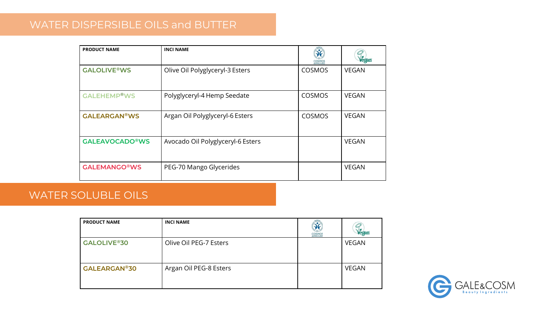### WATER DISPERSIBLE OILS and BUTTER

| <b>PRODUCT NAME</b>           | <b>INCI NAME</b>                  | <b>COSMOS</b><br>APPROVED | Vegan        |
|-------------------------------|-----------------------------------|---------------------------|--------------|
| <b>GALOLIVE®WS</b>            | Olive Oil Polyglyceryl-3 Esters   | COSMOS                    | <b>VEGAN</b> |
| <b>GALEHEMP<sup>®</sup>WS</b> | Polyglyceryl-4 Hemp Seedate       | COSMOS                    | <b>VEGAN</b> |
| <b>GALEARGAN®WS</b>           | Argan Oil Polyglyceryl-6 Esters   | COSMOS                    | <b>VEGAN</b> |
| <b>GALEAVOCADO®WS</b>         | Avocado Oil Polyglyceryl-6 Esters |                           | <b>VEGAN</b> |
| <b>GALEMANGO®WS</b>           | PEG-70 Mango Glycerides           |                           | <b>VEGAN</b> |

### WATER SOLUBLE OILS

| <b>PRODUCT NAME</b> | <b>INCI NAME</b>       | <b>COSMOS</b><br>APPROVED | Vegan        |
|---------------------|------------------------|---------------------------|--------------|
| <b>GALOLIVE®30</b>  | Olive Oil PEG-7 Esters |                           | <b>VEGAN</b> |
| <b>GALEARGAN®30</b> | Argan Oil PEG-8 Esters |                           | <b>VEGAN</b> |

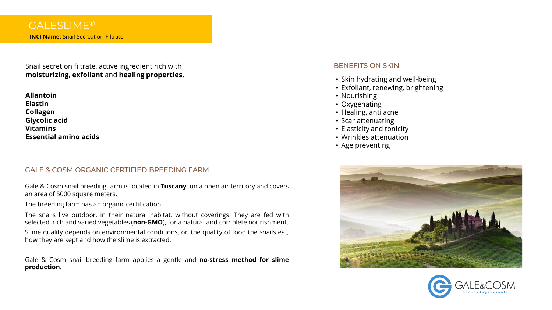Snail secretion filtrate, active ingredient rich with **moisturizing**, **exfoliant** and **healing properties**.

**Allantoin Elastin Collagen Glycolic acid Vitamins Essential amino acids**

#### GALE & COSM ORGANIC CERTIFIED BREEDING FARM

Gale & Cosm snail breeding farm is located in **Tuscany**, on a open air territory and covers an area of 5000 square meters.

The breeding farm has an organic certification.

The snails live outdoor, in their natural habitat, without coverings. They are fed with selected, rich and varied vegetables (**non-GMO**), for a natural and complete nourishment. Slime quality depends on environmental conditions, on the quality of food the snails eat,

how they are kept and how the slime is extracted.

Gale & Cosm snail breeding farm applies a gentle and **no-stress method for slime production**.

#### BENEFITS ON SKIN

- Skin hydrating and well-being
- Exfoliant, renewing, brightening
- Nourishing
- Oxygenating
- Healing, anti acne
- Scar attenuating
- Elasticity and tonicity
- Wrinkles attenuation
- Age preventing



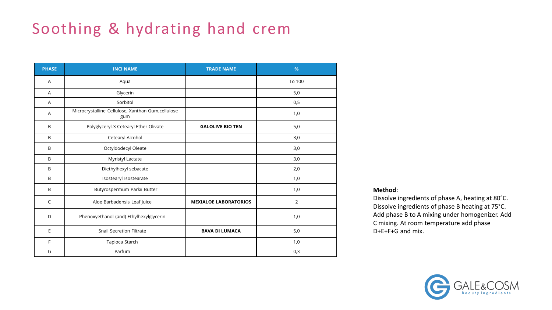### Soothing & hydrating hand crem

| <b>PHASE</b>   | <b>INCI NAME</b>                                         | <b>TRADE NAME</b>            | $\frac{9}{6}$  |
|----------------|----------------------------------------------------------|------------------------------|----------------|
| Α              | Aqua                                                     |                              | To 100         |
| A              | Glycerin                                                 |                              | 5,0            |
| $\overline{A}$ | Sorbitol                                                 |                              | 0,5            |
| A              | Microcrystalline Cellulose, Xanthan Gum,cellulose<br>gum |                              | 1,0            |
| B              | Polyglyceryl-3 Cetearyl Ether Olivate                    | <b>GALOLIVE BIO TEN</b>      | 5,0            |
| B              | Cetearyl Alcohol                                         |                              | 3,0            |
| B              | Octyldodecyl Oleate                                      |                              | 3,0            |
| B              | Myristyl Lactate                                         |                              | 3,0            |
| B              | Diethylhexyl sebacate                                    |                              | 2,0            |
| B              | Isostearyl Isostearate                                   |                              | 1,0            |
| B              | Butyrospermum Parkii Butter                              |                              | 1,0            |
| $\mathsf{C}$   | Aloe Barbadensis Leaf Juice                              | <b>MEXIALOE LABORATORIOS</b> | $\overline{2}$ |
| D              | Phenoxyethanol (and) Ethylhexylglycerin                  |                              | 1,0            |
| E              | <b>Snail Secretion Filtrate</b>                          | <b>BAVA DI LUMACA</b>        | 5,0            |
| F              | Tapioca Starch                                           |                              | 1,0            |
| G              | Parfum                                                   |                              | 0,3            |

#### **Method**:

Dissolve ingredients of phase A, heating at 80°C. Dissolve ingredients of phase B heating at 75°C. Add phase B to A mixing under homogenizer. Add C mixing. At room temperature add phase D+E+F+G and mix.

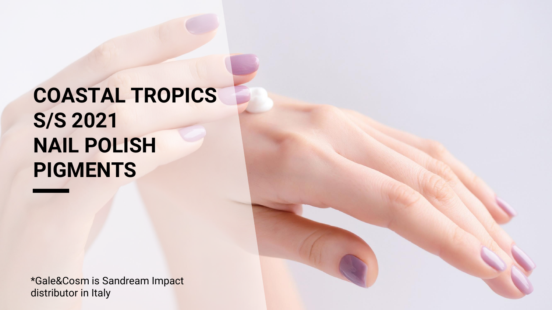# **COASTAL TROPICS S/S 2021 NAIL POLISH PIGMENTS**

\*Gale&Cosm is Sandream Impact distributor in Italy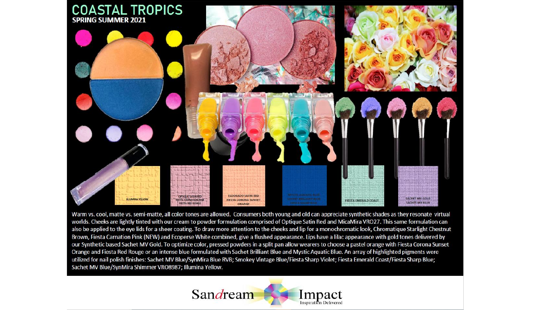

Warm vs. cool, matte vs. semi-matte, all color tones are allowed. Consumers both young and old can appreciate synthetic shades as they resonate virtual worlds. Cheeks are lightly tinted with our cream to powder formulation comprised of Optique Satin Red and MicaMira VRO27. This same formulation can also be applied to the eye lids for a sheer coating. To draw more attention to the cheeks and lip for a monochromatic look, Chromatique Starlight Chestnut Brown, Fiesta Carnation Pink (NEW) and Ecoperse White combined, give a flushed appearance. Lips have a lilac appearance with gold tones delivered by our Synthetic based Sachet MV Gold. To optimize color, pressed powders in a split pan allow wearers to choose a pastel orange with Fiesta Corona Sunset Orange and Fiesta Red Rouge or an intense blue formulated with Sachet Brilliant Blue and Mystic Aquatic Blue. An array of highlighted pigments were utilized for nail polish finishes: Sachet MV Blue/SynMira Blue RVB; Smokey Vintage Blue/Fiesta Sharp Violet; Fiesta Emerald Coast/Fiesta Sharp Blue; Sachet MV Blue/SynMira Shimmer VRO8987; Illumina Yellow.

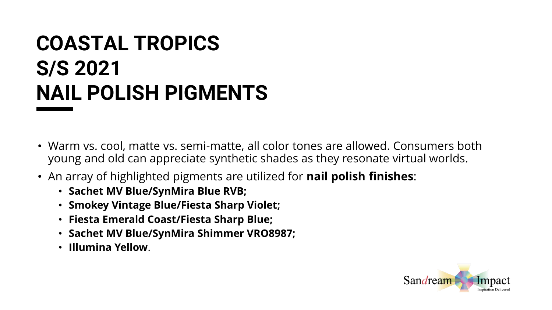# **COASTAL TROPICS S/S 2021 NAIL POLISH PIGMENTS**

- Warm vs. cool, matte vs. semi-matte, all color tones are allowed. Consumers both young and old can appreciate synthetic shades as they resonate virtual worlds.
- An array of highlighted pigments are utilized for **nail polish finishes**:
	- **Sachet MV Blue/SynMira Blue RVB;**
	- **Smokey Vintage Blue/Fiesta Sharp Violet;**
	- **Fiesta Emerald Coast/Fiesta Sharp Blue;**
	- **Sachet MV Blue/SynMira Shimmer VRO8987;**
	- **Illumina Yellow**.